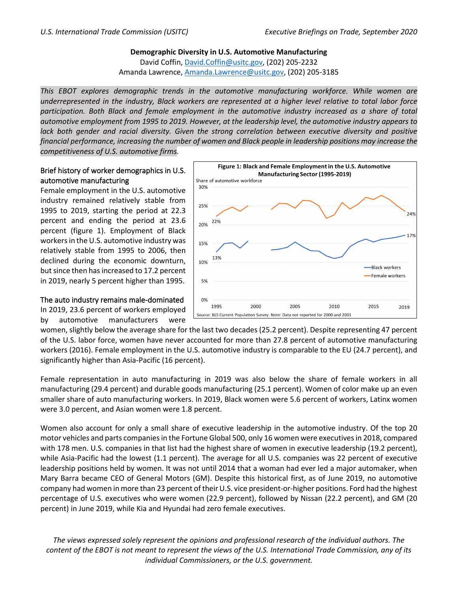**Demographic Diversity in U.S. Automotive Manufacturing** David Coffin, [David.Coffin@usitc.gov,](mailto:David.Coffin@usitc.gov) (202) 205-2232 Amanda Lawrence, [Amanda.Lawrence@usitc.gov,](mailto:Amanda.Lawrence@usitc.gov) (202) 205-3185

*This EBOT explores demographic trends in the automotive manufacturing workforce. While women are underrepresented in the industry, Black workers are represented at a higher level relative to total labor force participation. Both Black and female employment in the automotive industry increased as a share of total automotive employment from 1995 to 2019. However, at the leadership level, the automotive industry appears to lack both gender and racial diversity. Given the strong correlation between executive diversity and positive financial performance, increasing the number of women and Black people in leadership positions may increase the competitiveness of U.S. automotive firms.*

## Brief history of worker demographics in U.S. automotive manufacturing

Female employment in the U.S. automotive industry remained relatively stable from 1995 to 2019, starting the period at 22.3 percent and ending the period at 23.6 percent (figure 1). Employment of Black workersin the U.S. automotive industry was relatively stable from 1995 to 2006, then declined during the economic downturn, but since then has increased to 17.2 percent in 2019, nearly 5 percent higher than 1995.



## The auto industry remains male-dominated

In 2019, 23.6 percent of workers employed by automotive manufacturers were

women, slightly below the average share for the last two decades (25.2 percent). Despite representing 47 percent of the U.S. labor force, women have never accounted for more than 27.8 percent of automotive manufacturing workers (2016). Female employment in the U.S. automotive industry is comparable to the EU (24.7 percent), and significantly higher than Asia-Pacific (16 percent).

Female representation in auto manufacturing in 2019 was also below the share of female workers in all manufacturing (29.4 percent) and durable goods manufacturing (25.1 percent). Women of color make up an even smaller share of auto manufacturing workers. In 2019, Black women were 5.6 percent of workers, Latinx women were 3.0 percent, and Asian women were 1.8 percent.

Women also account for only a small share of executive leadership in the automotive industry. Of the top 20 motor vehicles and parts companies in the Fortune Global 500, only 16 women were executives in 2018, compared with 178 men. U.S. companies in that list had the highest share of women in executive leadership (19.2 percent), while Asia-Pacific had the lowest (1.1 percent). The average for all U.S. companies was 22 percent of executive leadership positions held by women. It was not until 2014 that a woman had ever led a major automaker, when Mary Barra became CEO of General Motors (GM). Despite this historical first, as of June 2019, no automotive company had women inmore than 23 percent of their U.S. vice president-or-higher positions. Ford had the highest percentage of U.S. executives who were women (22.9 percent), followed by Nissan (22.2 percent), and GM (20 percent) in June 2019, while Kia and Hyundai had zero female executives.

*The views expressed solely represent the opinions and professional research of the individual authors. The content of the EBOT is not meant to represent the views of the U.S. International Trade Commission, any of its individual Commissioners, or the U.S. government.*